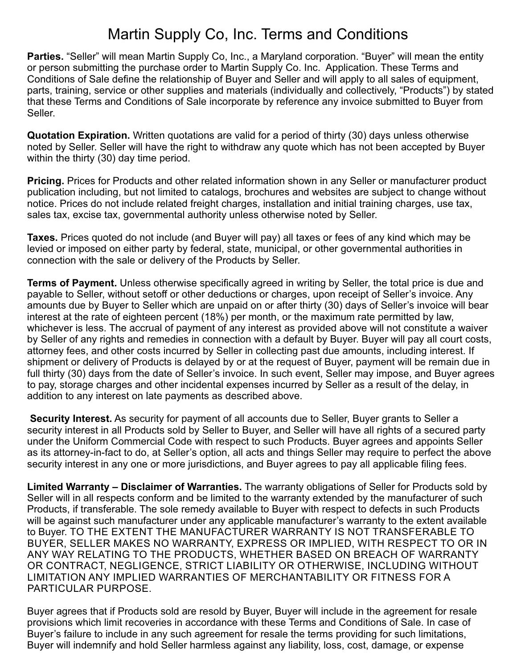## Martin Supply Co, Inc. Terms and Conditions

**Parties.** "Seller" will mean Martin Supply Co, Inc., a Maryland corporation. "Buyer" will mean the entity or person submitting the purchase order to Martin Supply Co. Inc. Application. These Terms and Conditions of Sale define the relationship of Buyer and Seller and will apply to all sales of equipment, parts, training, service or other supplies and materials (individually and collectively, "Products") by stated that these Terms and Conditions of Sale incorporate by reference any invoice submitted to Buyer from Seller.

**Quotation Expiration.** Written quotations are valid for a period of thirty (30) days unless otherwise noted by Seller. Seller will have the right to withdraw any quote which has not been accepted by Buyer within the thirty (30) day time period.

**Pricing.** Prices for Products and other related information shown in any Seller or manufacturer product publication including, but not limited to catalogs, brochures and websites are subject to change without notice. Prices do not include related freight charges, installation and initial training charges, use tax, sales tax, excise tax, governmental authority unless otherwise noted by Seller.

**Taxes.** Prices quoted do not include (and Buyer will pay) all taxes or fees of any kind which may be levied or imposed on either party by federal, state, municipal, or other governmental authorities in connection with the sale or delivery of the Products by Seller.

**Terms of Payment.** Unless otherwise specifically agreed in writing by Seller, the total price is due and payable to Seller, without setoff or other deductions or charges, upon receipt of Seller's invoice. Any amounts due by Buyer to Seller which are unpaid on or after thirty (30) days of Seller's invoice will bear interest at the rate of eighteen percent (18%) per month, or the maximum rate permitted by law, whichever is less. The accrual of payment of any interest as provided above will not constitute a waiver by Seller of any rights and remedies in connection with a default by Buyer. Buyer will pay all court costs, attorney fees, and other costs incurred by Seller in collecting past due amounts, including interest. If shipment or delivery of Products is delayed by or at the request of Buyer, payment will be remain due in full thirty (30) days from the date of Seller's invoice. In such event, Seller may impose, and Buyer agrees to pay, storage charges and other incidental expenses incurred by Seller as a result of the delay, in addition to any interest on late payments as described above.

 **Security Interest.** As security for payment of all accounts due to Seller, Buyer grants to Seller a security interest in all Products sold by Seller to Buyer, and Seller will have all rights of a secured party under the Uniform Commercial Code with respect to such Products. Buyer agrees and appoints Seller as its attorney-in-fact to do, at Seller's option, all acts and things Seller may require to perfect the above security interest in any one or more jurisdictions, and Buyer agrees to pay all applicable filing fees.

**Limited Warranty – Disclaimer of Warranties.** The warranty obligations of Seller for Products sold by Seller will in all respects conform and be limited to the warranty extended by the manufacturer of such Products, if transferable. The sole remedy available to Buyer with respect to defects in such Products will be against such manufacturer under any applicable manufacturer's warranty to the extent available to Buyer. TO THE EXTENT THE MANUFACTURER WARRANTY IS NOT TRANSFERABLE TO BUYER, SELLER MAKES NO WARRANTY, EXPRESS OR IMPLIED, WITH RESPECT TO OR IN ANY WAY RELATING TO THE PRODUCTS, WHETHER BASED ON BREACH OF WARRANTY OR CONTRACT, NEGLIGENCE, STRICT LIABILITY OR OTHERWISE, INCLUDING WITHOUT LIMITATION ANY IMPLIED WARRANTIES OF MERCHANTABILITY OR FITNESS FOR A PARTICULAR PURPOSE.

Buyer agrees that if Products sold are resold by Buyer, Buyer will include in the agreement for resale provisions which limit recoveries in accordance with these Terms and Conditions of Sale. In case of Buyer's failure to include in any such agreement for resale the terms providing for such limitations, Buyer will indemnify and hold Seller harmless against any liability, loss, cost, damage, or expense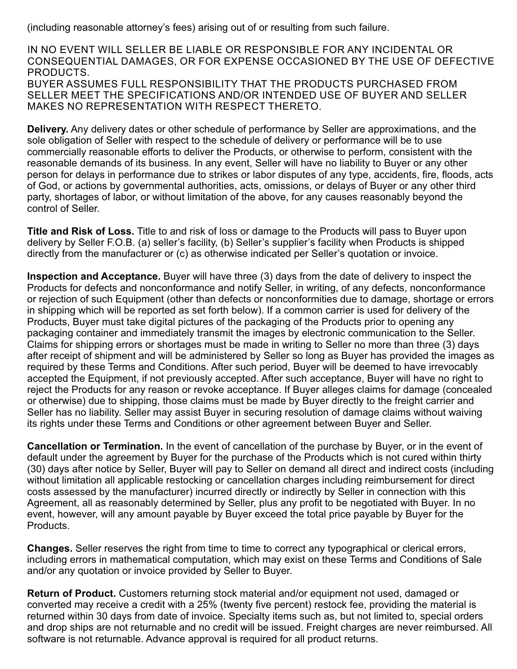(including reasonable attorney's fees) arising out of or resulting from such failure.

IN NO EVENT WILL SELLER BE LIABLE OR RESPONSIBLE FOR ANY INCIDENTAL OR CONSEQUENTIAL DAMAGES, OR FOR EXPENSE OCCASIONED BY THE USE OF DEFECTIVE PRODUCTS. BUYER ASSUMES FULL RESPONSIBILITY THAT THE PRODUCTS PURCHASED FROM SELLER MEET THE SPECIFICATIONS AND/OR INTENDED USE OF BUYER AND SELLER MAKES NO REPRESENTATION WITH RESPECT THERETO.

**Delivery.** Any delivery dates or other schedule of performance by Seller are approximations, and the sole obligation of Seller with respect to the schedule of delivery or performance will be to use commercially reasonable efforts to deliver the Products, or otherwise to perform, consistent with the reasonable demands of its business. In any event, Seller will have no liability to Buyer or any other person for delays in performance due to strikes or labor disputes of any type, accidents, fire, floods, acts of God, or actions by governmental authorities, acts, omissions, or delays of Buyer or any other third party, shortages of labor, or without limitation of the above, for any causes reasonably beyond the control of Seller.

**Title and Risk of Loss.** Title to and risk of loss or damage to the Products will pass to Buyer upon delivery by Seller F.O.B. (a) seller's facility, (b) Seller's supplier's facility when Products is shipped directly from the manufacturer or (c) as otherwise indicated per Seller's quotation or invoice.

**Inspection and Acceptance.** Buyer will have three (3) days from the date of delivery to inspect the Products for defects and nonconformance and notify Seller, in writing, of any defects, nonconformance or rejection of such Equipment (other than defects or nonconformities due to damage, shortage or errors in shipping which will be reported as set forth below). If a common carrier is used for delivery of the Products, Buyer must take digital pictures of the packaging of the Products prior to opening any packaging container and immediately transmit the images by electronic communication to the Seller. Claims for shipping errors or shortages must be made in writing to Seller no more than three (3) days after receipt of shipment and will be administered by Seller so long as Buyer has provided the images as required by these Terms and Conditions. After such period, Buyer will be deemed to have irrevocably accepted the Equipment, if not previously accepted. After such acceptance, Buyer will have no right to reject the Products for any reason or revoke acceptance. If Buyer alleges claims for damage (concealed or otherwise) due to shipping, those claims must be made by Buyer directly to the freight carrier and Seller has no liability. Seller may assist Buyer in securing resolution of damage claims without waiving its rights under these Terms and Conditions or other agreement between Buyer and Seller.

**Cancellation or Termination.** In the event of cancellation of the purchase by Buyer, or in the event of default under the agreement by Buyer for the purchase of the Products which is not cured within thirty (30) days after notice by Seller, Buyer will pay to Seller on demand all direct and indirect costs (including without limitation all applicable restocking or cancellation charges including reimbursement for direct costs assessed by the manufacturer) incurred directly or indirectly by Seller in connection with this Agreement, all as reasonably determined by Seller, plus any profit to be negotiated with Buyer. In no event, however, will any amount payable by Buyer exceed the total price payable by Buyer for the Products.

**Changes.** Seller reserves the right from time to time to correct any typographical or clerical errors, including errors in mathematical computation, which may exist on these Terms and Conditions of Sale and/or any quotation or invoice provided by Seller to Buyer.

**Return of Product.** Customers returning stock material and/or equipment not used, damaged or converted may receive a credit with a 25% (twenty five percent) restock fee, providing the material is returned within 30 days from date of invoice. Specialty items such as, but not limited to, special orders and drop ships are not returnable and no credit will be issued. Freight charges are never reimbursed. All software is not returnable. Advance approval is required for all product returns.